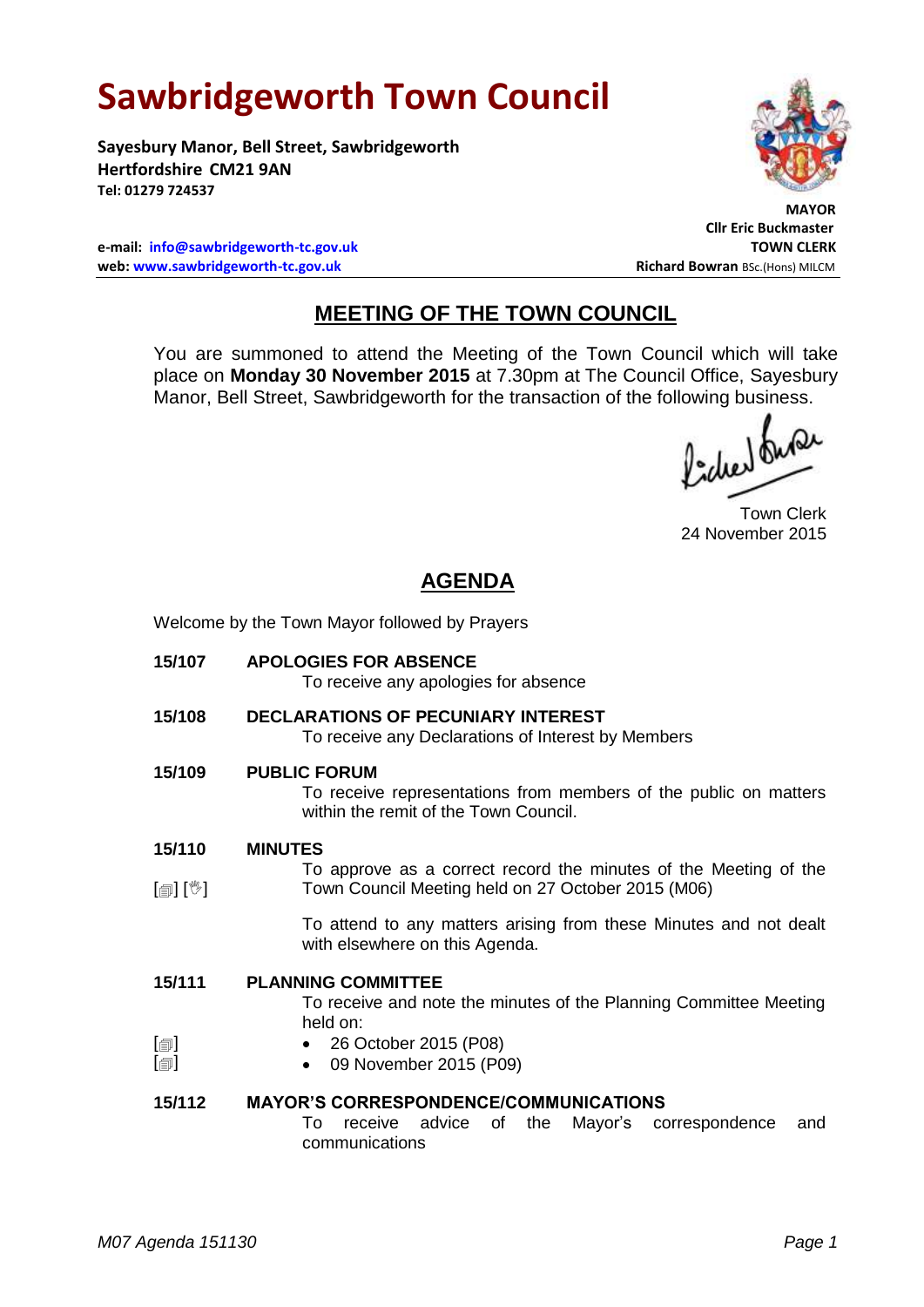# **Sawbridgeworth Town Council**

**Sayesbury Manor, Bell Street, Sawbridgeworth Hertfordshire CM21 9AN Tel: 01279 724537**

 **MAYOR**

**Cllr Eric Buckmaster**

**e-mail: [info@sawbridgeworth-tc.gov.uk](mailto:info@sawbridgeworth-tc.gov.uk) TOWN CLERK web: www.sawbridgeworth-tc.gov.uk Richard Bowran BSc.(Hons) MILCM Richard Bowran BSc.(Hons) MILCM** 

# **MEETING OF THE TOWN COUNCIL**

You are summoned to attend the Meeting of the Town Council which will take place on **Monday 30 November 2015** at 7.30pm at The Council Office, Sayesbury Manor, Bell Street, Sawbridgeworth for the transaction of the following business.<br>  $\Lambda$ ,  $\Lambda$ 

Town Clerk 24 November 2015

## **AGENDA**

Welcome by the Town Mayor followed by Prayers

**15/107 APOLOGIES FOR ABSENCE**

To receive any apologies for absence

- **15/108 DECLARATIONS OF PECUNIARY INTEREST** To receive any Declarations of Interest by Members
- **15/109 PUBLIC FORUM**

To receive representations from members of the public on matters within the remit of the Town Council.

**15/110 MINUTES**

 $[\circledast]$   $[\circledast]$ To approve as a correct record the minutes of the Meeting of the Town Council Meeting held on 27 October 2015 (M06)

> To attend to any matters arising from these Minutes and not dealt with elsewhere on this Agenda.

- **15/111**  $[\blacksquare]$  $\Box$ **PLANNING COMMITTEE** To receive and note the minutes of the Planning Committee Meeting held on: 26 October 2015 (P08)
	- 09 November 2015 (P09)

### **15/112 MAYOR'S CORRESPONDENCE/COMMUNICATIONS**

To receive advice of the Mayor's correspondence and communications